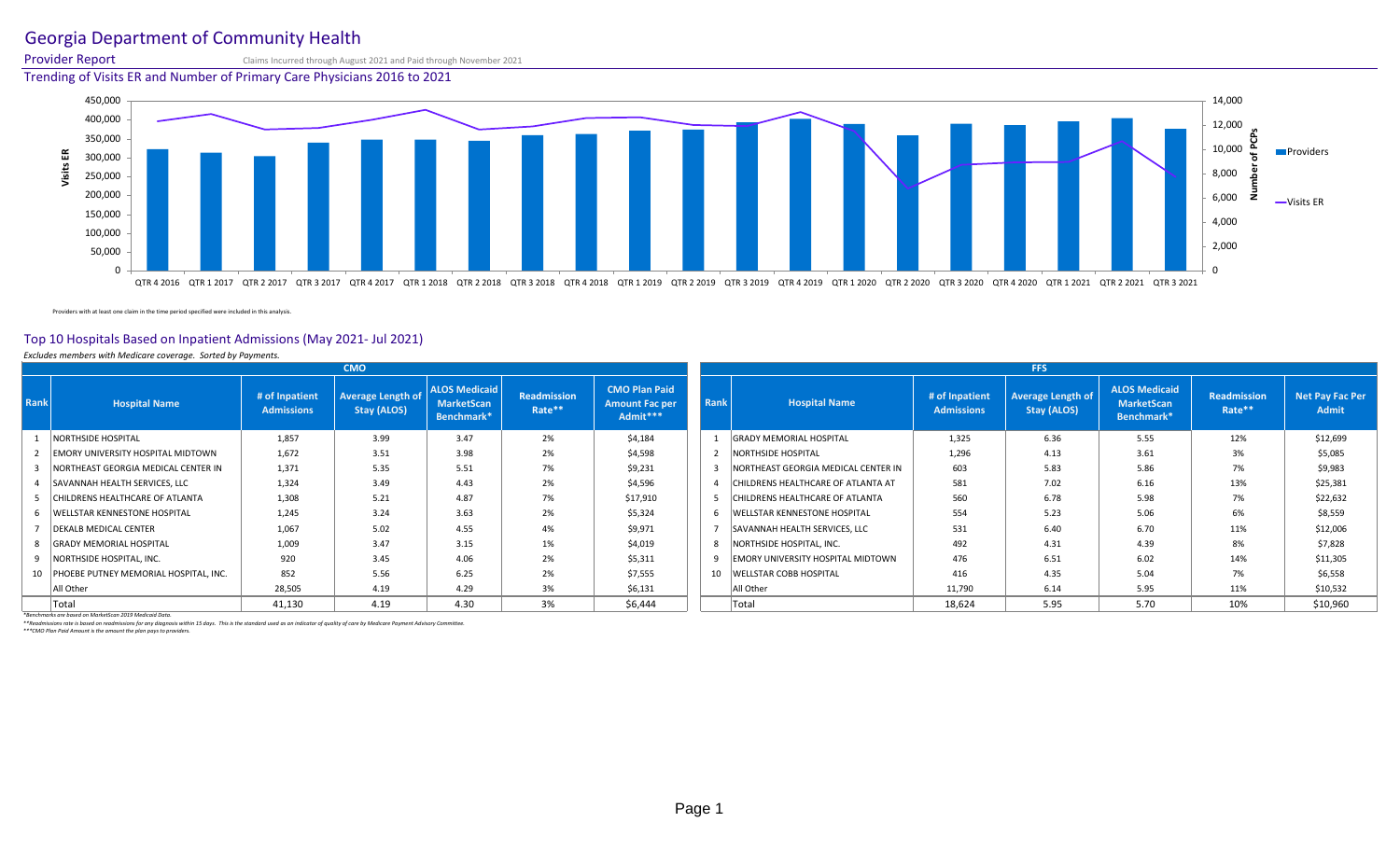# Georgia Department of Community Health

Provider Report Claims Incurred through August 2021 and Paid through November 2021

Trending of Visits ER and Number of Primary Care Physicians 2016 to 2021



Providers with at least one claim in the time period specified were included in this analysis.

## Top 10 Hospitals Based on Inpatient Admissions (May 2021- Jul 2021)

### *Excludes members with Medicare coverage. Sorted by Payments.*

|      |                                          |                                     | <b>CMO</b>                              |                                                         |                              |                                                           |      |                                          |                                     | <b>FFS</b>                              |                                                         |                       |                          |
|------|------------------------------------------|-------------------------------------|-----------------------------------------|---------------------------------------------------------|------------------------------|-----------------------------------------------------------|------|------------------------------------------|-------------------------------------|-----------------------------------------|---------------------------------------------------------|-----------------------|--------------------------|
| Rank | <b>Hospital Name</b>                     | # of Inpatient<br><b>Admissions</b> | <b>Average Length of</b><br>Stay (ALOS) | <b>ALOS Medicaid</b><br><b>MarketScan</b><br>Benchmark* | <b>Readmission</b><br>Rate** | <b>CMO Plan Paid</b><br><b>Amount Fac per</b><br>Admit*** | Rank | <b>Hospital Name</b>                     | # of Inpatient<br><b>Admissions</b> | <b>Average Length of</b><br>Stay (ALOS) | <b>ALOS Medicaid</b><br><b>MarketScan</b><br>Benchmark* | Readmission<br>Rate** | Net Pay Fac Per<br>Admit |
|      | <b>NORTHSIDE HOSPITAL</b>                | 1,857                               | 3.99                                    | 3.47                                                    | 2%                           | \$4,184                                                   |      | <b>GRADY MEMORIAL HOSPITAL</b>           | 1,325                               | 6.36                                    | 5.55                                                    | 12%                   | \$12,699                 |
|      | <b>EMORY UNIVERSITY HOSPITAL MIDTOWN</b> | 1,672                               | 3.51                                    | 3.98                                                    | 2%                           | \$4,598                                                   |      | NORTHSIDE HOSPITAL                       | 1,296                               | 4.13                                    | 3.61                                                    | 3%                    | \$5,085                  |
|      | NORTHEAST GEORGIA MEDICAL CENTER IN      | 1,371                               | 5.35                                    | 5.51                                                    | 7%                           | \$9,231                                                   |      | NORTHEAST GEORGIA MEDICAL CENTER IN      | 603                                 | 5.83                                    | 5.86                                                    | 7%                    | \$9,983                  |
|      | SAVANNAH HEALTH SERVICES, LLC            | 1.324                               | 3.49                                    | 4.43                                                    | 2%                           | \$4,596                                                   |      | CHILDRENS HEALTHCARE OF ATLANTA AT       | 581                                 | 7.02                                    | 6.16                                                    | 13%                   | \$25,381                 |
|      | CHILDRENS HEALTHCARE OF ATLANTA          | 1,308                               | 5.21                                    | 4.87                                                    | 7%                           | \$17,910                                                  |      | CHILDRENS HEALTHCARE OF ATLANTA          | 560                                 | 6.78                                    | 5.98                                                    | 7%                    | \$22,632                 |
|      | <b>WELLSTAR KENNESTONE HOSPITAL</b>      | 1.245                               | 3.24                                    | 3.63                                                    | 2%                           | \$5,324                                                   |      | <b>WELLSTAR KENNESTONE HOSPITAL</b>      | 554                                 | 5.23                                    | 5.06                                                    | 6%                    | \$8,559                  |
|      | <b>DEKALB MEDICAL CENTER</b>             | 1,067                               | 5.02                                    | 4.55                                                    | 4%                           | \$9,971                                                   |      | SAVANNAH HEALTH SERVICES, LLC            | 531                                 | 6.40                                    | 6.70                                                    | 11%                   | \$12,006                 |
|      | 8 GRADY MEMORIAL HOSPITAL                | 1.009                               | 3.47                                    | 3.15                                                    | 1%                           | \$4,019                                                   |      | NORTHSIDE HOSPITAL, INC.                 | 492                                 | 4.31                                    | 4.39                                                    | 8%                    | \$7,828                  |
|      | NORTHSIDE HOSPITAL, INC.                 | 920                                 | 3.45                                    | 4.06                                                    | 2%                           | \$5,311                                                   |      | <b>EMORY UNIVERSITY HOSPITAL MIDTOWN</b> | 476                                 | 6.51                                    | 6.02                                                    | 14%                   | \$11,305                 |
|      | 10 PHOEBE PUTNEY MEMORIAL HOSPITAL, INC. | 852                                 | 5.56                                    | 6.25                                                    | 2%                           | \$7,555                                                   | 10   | <b>WELLSTAR COBB HOSPITAL</b>            | 416                                 | 4.35                                    | 5.04                                                    | 7%                    | \$6,558                  |
|      | All Other                                | 28,505                              | 4.19                                    | 4.29                                                    | 3%                           | \$6,131                                                   |      | All Other                                | 11,790                              | 6.14                                    | 5.95                                                    | 11%                   | \$10,532                 |
|      | Total                                    | 41,130                              | 4.19                                    | 4.30                                                    | 3%                           | \$6,444                                                   |      | Total                                    | 18,624                              | 5.95                                    | 5.70                                                    | 10%                   | \$10,960                 |

*\*Benchmarks are based on MarketScan 2019 Medicaid Data.*

*\*\*Readmissions rate is based on readmissions for any diagnosis within 15 days. This is the standard used as an indicator of quality of care by Medicare Payment Advisory Committee.*

*\*\*\*CMO Plan Paid Amount is the amount the plan pays to providers.*